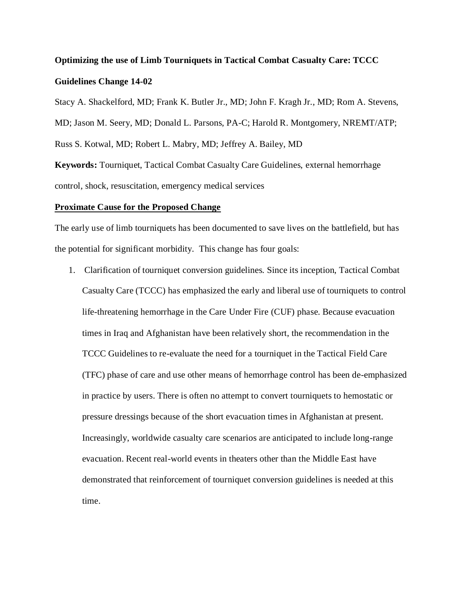# **Optimizing the use of Limb Tourniquets in Tactical Combat Casualty Care: TCCC Guidelines Change 14-02**

Stacy A. Shackelford, MD; Frank K. Butler Jr., MD; John F. Kragh Jr., MD; Rom A. Stevens, MD; Jason M. Seery, MD; Donald L. Parsons, PA-C; Harold R. Montgomery, NREMT/ATP; Russ S. Kotwal, MD; Robert L. Mabry, MD; Jeffrey A. Bailey, MD

**Keywords:** Tourniquet, Tactical Combat Casualty Care Guidelines, external hemorrhage control, shock, resuscitation, emergency medical services

# **Proximate Cause for the Proposed Change**

The early use of limb tourniquets has been documented to save lives on the battlefield, but has the potential for significant morbidity. This change has four goals:

1. Clarification of tourniquet conversion guidelines. Since its inception, Tactical Combat Casualty Care (TCCC) has emphasized the early and liberal use of tourniquets to control life-threatening hemorrhage in the Care Under Fire (CUF) phase. Because evacuation times in Iraq and Afghanistan have been relatively short, the recommendation in the TCCC Guidelines to re-evaluate the need for a tourniquet in the Tactical Field Care (TFC) phase of care and use other means of hemorrhage control has been de-emphasized in practice by users. There is often no attempt to convert tourniquets to hemostatic or pressure dressings because of the short evacuation times in Afghanistan at present. Increasingly, worldwide casualty care scenarios are anticipated to include long-range evacuation. Recent real-world events in theaters other than the Middle East have demonstrated that reinforcement of tourniquet conversion guidelines is needed at this time.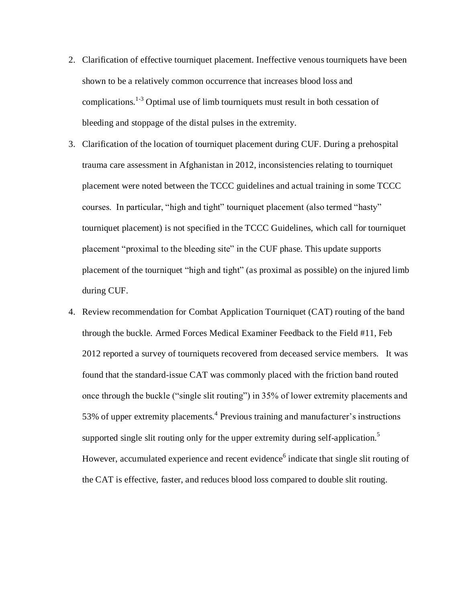- 2. Clarification of effective tourniquet placement. Ineffective venous tourniquets have been shown to be a relatively common occurrence that increases blood loss and complications.<sup>1-3</sup> Optimal use of limb tourniquets must result in both cessation of bleeding and stoppage of the distal pulses in the extremity.
- 3. Clarification of the location of tourniquet placement during CUF. During a prehospital trauma care assessment in Afghanistan in 2012, inconsistencies relating to tourniquet placement were noted between the TCCC guidelines and actual training in some TCCC courses. In particular, "high and tight" tourniquet placement (also termed "hasty" tourniquet placement) is not specified in the TCCC Guidelines, which call for tourniquet placement "proximal to the bleeding site" in the CUF phase. This update supports placement of the tourniquet "high and tight" (as proximal as possible) on the injured limb during CUF.
- 4. Review recommendation for Combat Application Tourniquet (CAT) routing of the band through the buckle. Armed Forces Medical Examiner Feedback to the Field #11, Feb 2012 reported a survey of tourniquets recovered from deceased service members. It was found that the standard-issue CAT was commonly placed with the friction band routed once through the buckle ("single slit routing") in 35% of lower extremity placements and 53% of upper extremity placements.<sup>4</sup> Previous training and manufacturer's instructions supported single slit routing only for the upper extremity during self-application.<sup>5</sup> However, accumulated experience and recent evidence<sup>6</sup> indicate that single slit routing of the CAT is effective, faster, and reduces blood loss compared to double slit routing.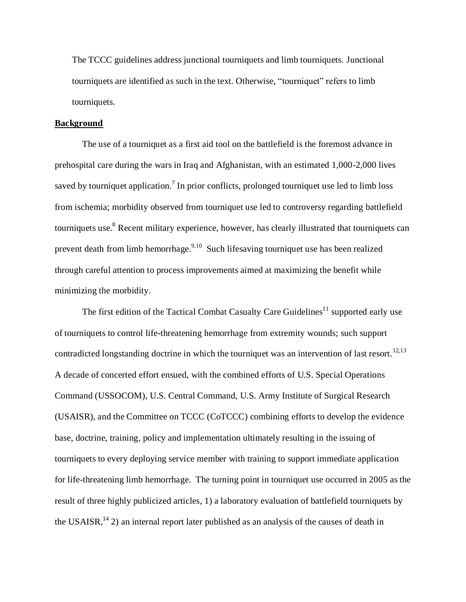The TCCC guidelines address junctional tourniquets and limb tourniquets. Junctional tourniquets are identified as such in the text. Otherwise, "tourniquet" refers to limb tourniquets.

## **Background**

The use of a tourniquet as a first aid tool on the battlefield is the foremost advance in prehospital care during the wars in Iraq and Afghanistan, with an estimated 1,000-2,000 lives saved by tourniquet application.<sup>7</sup> In prior conflicts, prolonged tourniquet use led to limb loss from ischemia; morbidity observed from tourniquet use led to controversy regarding battlefield tourniquets use.<sup>8</sup> Recent military experience, however, has clearly illustrated that tourniquets can prevent death from limb hemorrhage.<sup>9,10</sup> Such lifesaving tourniquet use has been realized through careful attention to process improvements aimed at maximizing the benefit while minimizing the morbidity.

The first edition of the Tactical Combat Casualty Care Guidelines<sup>11</sup> supported early use of tourniquets to control life-threatening hemorrhage from extremity wounds; such support contradicted longstanding doctrine in which the tourniquet was an intervention of last resort.<sup>12,13</sup> A decade of concerted effort ensued, with the combined efforts of U.S. Special Operations Command (USSOCOM), U.S. Central Command, U.S. Army Institute of Surgical Research (USAISR), and the Committee on TCCC (CoTCCC) combining efforts to develop the evidence base, doctrine, training, policy and implementation ultimately resulting in the issuing of tourniquets to every deploying service member with training to support immediate application for life-threatening limb hemorrhage. The turning point in tourniquet use occurred in 2005 as the result of three highly publicized articles, 1) a laboratory evaluation of battlefield tourniquets by the USAISR,  $^{14}$  2) an internal report later published as an analysis of the causes of death in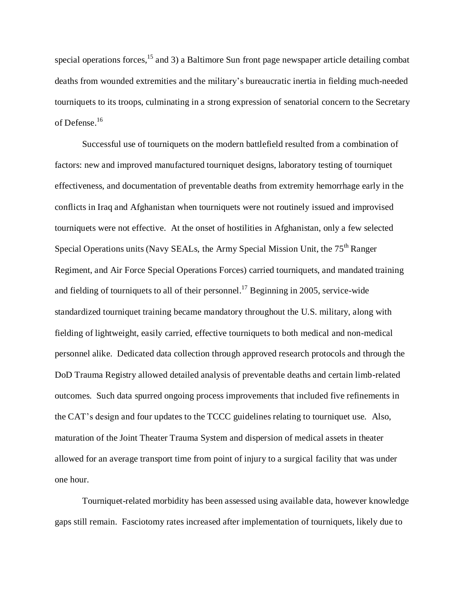special operations forces,<sup>15</sup> and 3) a Baltimore Sun front page newspaper article detailing combat deaths from wounded extremities and the military's bureaucratic inertia in fielding much-needed tourniquets to its troops, culminating in a strong expression of senatorial concern to the Secretary of Defense. 16

Successful use of tourniquets on the modern battlefield resulted from a combination of factors: new and improved manufactured tourniquet designs, laboratory testing of tourniquet effectiveness, and documentation of preventable deaths from extremity hemorrhage early in the conflicts in Iraq and Afghanistan when tourniquets were not routinely issued and improvised tourniquets were not effective. At the onset of hostilities in Afghanistan, only a few selected Special Operations units (Navy SEALs, the Army Special Mission Unit, the  $75<sup>th</sup>$  Ranger Regiment, and Air Force Special Operations Forces) carried tourniquets, and mandated training and fielding of tourniquets to all of their personnel.<sup>17</sup> Beginning in 2005, service-wide standardized tourniquet training became mandatory throughout the U.S. military, along with fielding of lightweight, easily carried, effective tourniquets to both medical and non-medical personnel alike. Dedicated data collection through approved research protocols and through the DoD Trauma Registry allowed detailed analysis of preventable deaths and certain limb-related outcomes. Such data spurred ongoing process improvements that included five refinements in the CAT's design and four updates to the TCCC guidelines relating to tourniquet use. Also, maturation of the Joint Theater Trauma System and dispersion of medical assets in theater allowed for an average transport time from point of injury to a surgical facility that was under one hour.

Tourniquet-related morbidity has been assessed using available data, however knowledge gaps still remain. Fasciotomy rates increased after implementation of tourniquets, likely due to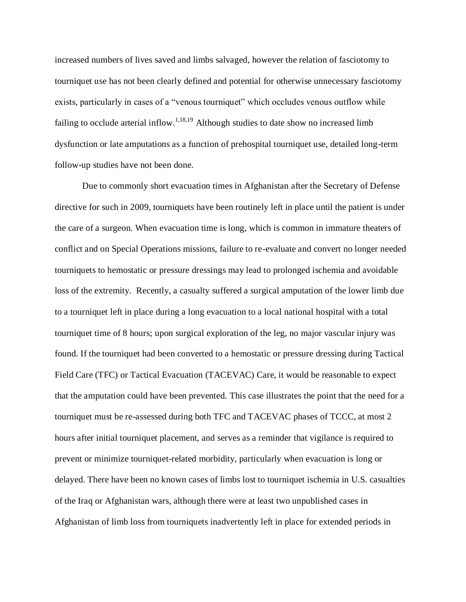increased numbers of lives saved and limbs salvaged, however the relation of fasciotomy to tourniquet use has not been clearly defined and potential for otherwise unnecessary fasciotomy exists, particularly in cases of a "venous tourniquet" which occludes venous outflow while failing to occlude arterial inflow.<sup>1,18,19</sup> Although studies to date show no increased limb dysfunction or late amputations as a function of prehospital tourniquet use, detailed long-term follow-up studies have not been done.

Due to commonly short evacuation times in Afghanistan after the Secretary of Defense directive for such in 2009, tourniquets have been routinely left in place until the patient is under the care of a surgeon. When evacuation time is long, which is common in immature theaters of conflict and on Special Operations missions, failure to re-evaluate and convert no longer needed tourniquets to hemostatic or pressure dressings may lead to prolonged ischemia and avoidable loss of the extremity. Recently, a casualty suffered a surgical amputation of the lower limb due to a tourniquet left in place during a long evacuation to a local national hospital with a total tourniquet time of 8 hours; upon surgical exploration of the leg, no major vascular injury was found. If the tourniquet had been converted to a hemostatic or pressure dressing during Tactical Field Care (TFC) or Tactical Evacuation (TACEVAC) Care, it would be reasonable to expect that the amputation could have been prevented. This case illustrates the point that the need for a tourniquet must be re-assessed during both TFC and TACEVAC phases of TCCC, at most 2 hours after initial tourniquet placement, and serves as a reminder that vigilance is required to prevent or minimize tourniquet-related morbidity, particularly when evacuation is long or delayed. There have been no known cases of limbs lost to tourniquet ischemia in U.S. casualties of the Iraq or Afghanistan wars, although there were at least two unpublished cases in Afghanistan of limb loss from tourniquets inadvertently left in place for extended periods in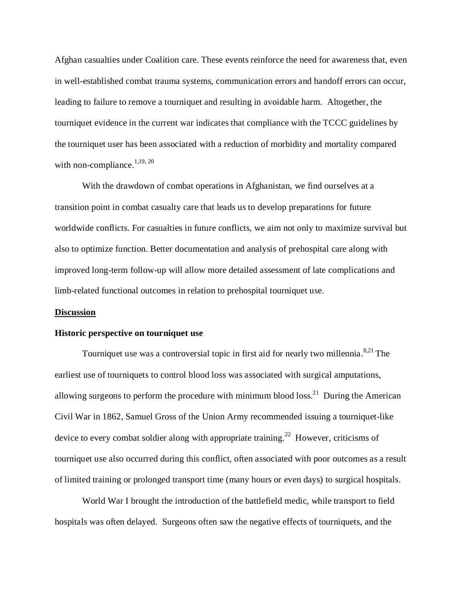Afghan casualties under Coalition care. These events reinforce the need for awareness that, even in well-established combat trauma systems, communication errors and handoff errors can occur, leading to failure to remove a tourniquet and resulting in avoidable harm. Altogether, the tourniquet evidence in the current war indicates that compliance with the TCCC guidelines by the tourniquet user has been associated with a reduction of morbidity and mortality compared with non-compliance. $1,19,20$ 

With the drawdown of combat operations in Afghanistan, we find ourselves at a transition point in combat casualty care that leads us to develop preparations for future worldwide conflicts. For casualties in future conflicts, we aim not only to maximize survival but also to optimize function. Better documentation and analysis of prehospital care along with improved long-term follow-up will allow more detailed assessment of late complications and limb-related functional outcomes in relation to prehospital tourniquet use.

#### **Discussion**

#### **Historic perspective on tourniquet use**

Tourniquet use was a controversial topic in first aid for nearly two millennia.<sup>8,21</sup> The earliest use of tourniquets to control blood loss was associated with surgical amputations, allowing surgeons to perform the procedure with minimum blood  $loss<sup>21</sup>$  During the American Civil War in 1862, Samuel Gross of the Union Army recommended issuing a tourniquet-like device to every combat soldier along with appropriate training.<sup>22</sup> However, criticisms of tourniquet use also occurred during this conflict, often associated with poor outcomes as a result of limited training or prolonged transport time (many hours or even days) to surgical hospitals.

World War I brought the introduction of the battlefield medic, while transport to field hospitals was often delayed. Surgeons often saw the negative effects of tourniquets, and the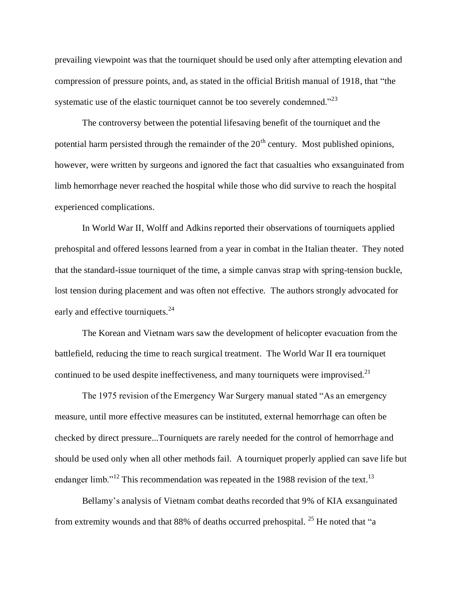prevailing viewpoint was that the tourniquet should be used only after attempting elevation and compression of pressure points, and, as stated in the official British manual of 1918, that "the systematic use of the elastic tourniquet cannot be too severely condemned."<sup>23</sup>

The controversy between the potential lifesaving benefit of the tourniquet and the potential harm persisted through the remainder of the  $20<sup>th</sup>$  century. Most published opinions, however, were written by surgeons and ignored the fact that casualties who exsanguinated from limb hemorrhage never reached the hospital while those who did survive to reach the hospital experienced complications.

In World War II, Wolff and Adkins reported their observations of tourniquets applied prehospital and offered lessons learned from a year in combat in the Italian theater. They noted that the standard-issue tourniquet of the time, a simple canvas strap with spring-tension buckle, lost tension during placement and was often not effective. The authors strongly advocated for early and effective tourniquets.<sup>24</sup>

The Korean and Vietnam wars saw the development of helicopter evacuation from the battlefield, reducing the time to reach surgical treatment. The World War II era tourniquet continued to be used despite ineffectiveness, and many tourniquets were improvised. $2<sup>1</sup>$ 

The 1975 revision of the Emergency War Surgery manual stated "As an emergency measure, until more effective measures can be instituted, external hemorrhage can often be checked by direct pressure...Tourniquets are rarely needed for the control of hemorrhage and should be used only when all other methods fail. A tourniquet properly applied can save life but endanger limb."<sup>12</sup> This recommendation was repeated in the 1988 revision of the text.<sup>13</sup>

Bellamy's analysis of Vietnam combat deaths recorded that 9% of KIA exsanguinated from extremity wounds and that 88% of deaths occurred prehospital. <sup>25</sup> He noted that "a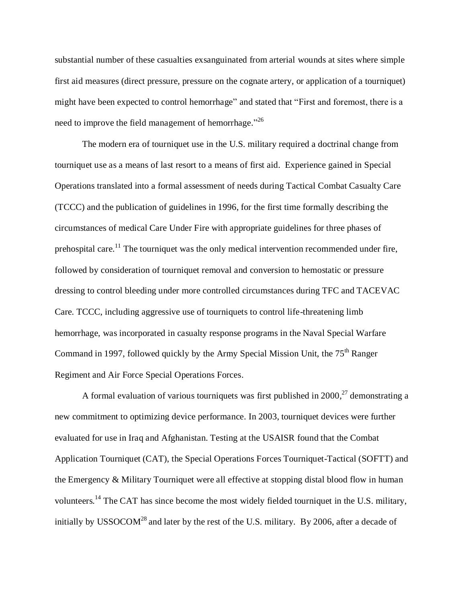substantial number of these casualties exsanguinated from arterial wounds at sites where simple first aid measures (direct pressure, pressure on the cognate artery, or application of a tourniquet) might have been expected to control hemorrhage" and stated that "First and foremost, there is a need to improve the field management of hemorrhage."<sup>26</sup>

The modern era of tourniquet use in the U.S. military required a doctrinal change from tourniquet use as a means of last resort to a means of first aid. Experience gained in Special Operations translated into a formal assessment of needs during Tactical Combat Casualty Care (TCCC) and the publication of guidelines in 1996, for the first time formally describing the circumstances of medical Care Under Fire with appropriate guidelines for three phases of prehospital care.<sup>11</sup> The tourniquet was the only medical intervention recommended under fire, followed by consideration of tourniquet removal and conversion to hemostatic or pressure dressing to control bleeding under more controlled circumstances during TFC and TACEVAC Care. TCCC, including aggressive use of tourniquets to control life-threatening limb hemorrhage, was incorporated in casualty response programs in the Naval Special Warfare Command in 1997, followed quickly by the Army Special Mission Unit, the 75<sup>th</sup> Ranger Regiment and Air Force Special Operations Forces.

A formal evaluation of various tourniquets was first published in  $2000$ ,  $27$  demonstrating a new commitment to optimizing device performance. In 2003, tourniquet devices were further evaluated for use in Iraq and Afghanistan. Testing at the USAISR found that the Combat Application Tourniquet (CAT), the Special Operations Forces Tourniquet-Tactical (SOFTT) and the Emergency & Military Tourniquet were all effective at stopping distal blood flow in human volunteers.<sup>14</sup> The CAT has since become the most widely fielded tourniquet in the U.S. military, initially by USSOCOM<sup>28</sup> and later by the rest of the U.S. military. By 2006, after a decade of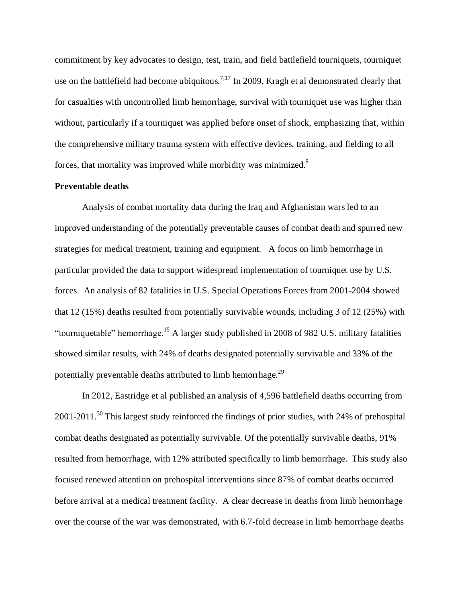commitment by key advocates to design, test, train, and field battlefield tourniquets, tourniquet use on the battlefield had become ubiquitous.<sup>7,17</sup> In 2009, Kragh et al demonstrated clearly that for casualties with uncontrolled limb hemorrhage, survival with tourniquet use was higher than without, particularly if a tourniquet was applied before onset of shock, emphasizing that, within the comprehensive military trauma system with effective devices, training, and fielding to all forces, that mortality was improved while morbidity was minimized.<sup>9</sup>

# **Preventable deaths**

Analysis of combat mortality data during the Iraq and Afghanistan wars led to an improved understanding of the potentially preventable causes of combat death and spurred new strategies for medical treatment, training and equipment. A focus on limb hemorrhage in particular provided the data to support widespread implementation of tourniquet use by U.S. forces. An analysis of 82 fatalities in U.S. Special Operations Forces from 2001-2004 showed that 12 (15%) deaths resulted from potentially survivable wounds, including 3 of 12 (25%) with "tourniquetable" hemorrhage. <sup>15</sup> A larger study published in 2008 of 982 U.S. military fatalities showed similar results, with 24% of deaths designated potentially survivable and 33% of the potentially preventable deaths attributed to limb hemorrhage.<sup>29</sup>

In 2012, Eastridge et al published an analysis of 4,596 battlefield deaths occurring from 2001-2011.<sup>30</sup> This largest study reinforced the findings of prior studies, with 24% of prehospital combat deaths designated as potentially survivable. Of the potentially survivable deaths, 91% resulted from hemorrhage, with 12% attributed specifically to limb hemorrhage. This study also focused renewed attention on prehospital interventions since 87% of combat deaths occurred before arrival at a medical treatment facility. A clear decrease in deaths from limb hemorrhage over the course of the war was demonstrated, with 6.7-fold decrease in limb hemorrhage deaths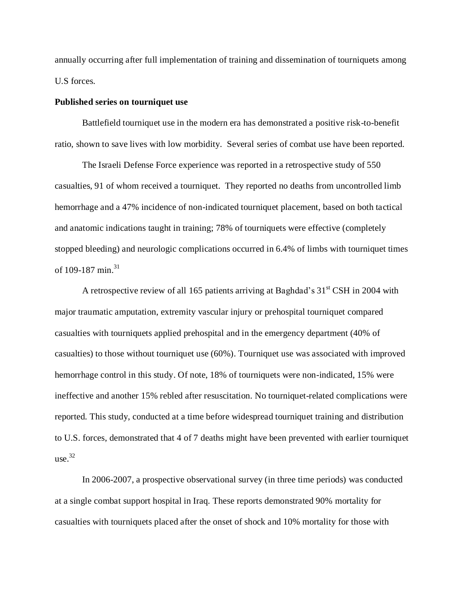annually occurring after full implementation of training and dissemination of tourniquets among U.S forces.

## **Published series on tourniquet use**

Battlefield tourniquet use in the modern era has demonstrated a positive risk-to-benefit ratio, shown to save lives with low morbidity. Several series of combat use have been reported.

The Israeli Defense Force experience was reported in a retrospective study of 550 casualties, 91 of whom received a tourniquet. They reported no deaths from uncontrolled limb hemorrhage and a 47% incidence of non-indicated tourniquet placement, based on both tactical and anatomic indications taught in training; 78% of tourniquets were effective (completely stopped bleeding) and neurologic complications occurred in 6.4% of limbs with tourniquet times of 109-187 min. $^{31}$ 

A retrospective review of all 165 patients arriving at Baghdad's  $31<sup>st</sup>$  CSH in 2004 with major traumatic amputation, extremity vascular injury or prehospital tourniquet compared casualties with tourniquets applied prehospital and in the emergency department (40% of casualties) to those without tourniquet use (60%). Tourniquet use was associated with improved hemorrhage control in this study. Of note, 18% of tourniquets were non-indicated, 15% were ineffective and another 15% rebled after resuscitation. No tourniquet-related complications were reported. This study, conducted at a time before widespread tourniquet training and distribution to U.S. forces, demonstrated that 4 of 7 deaths might have been prevented with earlier tourniquet  $use.<sup>32</sup>$ 

In 2006-2007, a prospective observational survey (in three time periods) was conducted at a single combat support hospital in Iraq. These reports demonstrated 90% mortality for casualties with tourniquets placed after the onset of shock and 10% mortality for those with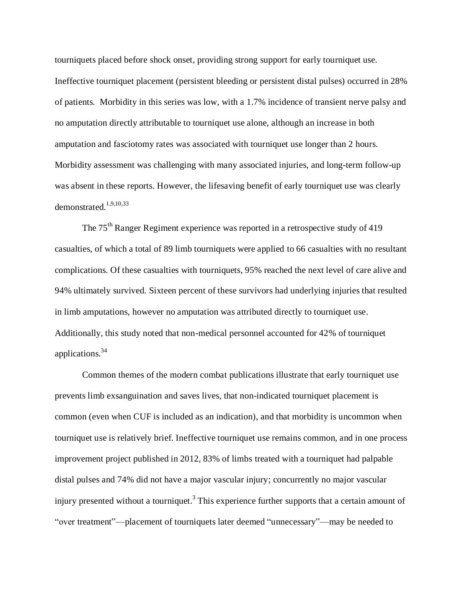tourniquets placed before shock onset, providing strong support for early tourniquet use. Ineffective tourniquet placement (persistent bleeding or persistent distal pulses) occurred in 28% of patients. Morbidity in this series was low, with a 1.7% incidence of transient nerve palsy and no amputation directly attributable to tourniquet use alone, although an increase in both amputation and fasciotomy rates was associated with tourniquet use longer than 2 hours. Morbidity assessment was challenging with many associated injuries, and long-term follow-up was absent in these reports. However, the lifesaving benefit of early tourniquet use was clearly demonstrated.1,9,10,33

The 75<sup>th</sup> Ranger Regiment experience was reported in a retrospective study of 419 casualties, of which a total of 89 limb tourniquets were applied to 66 casualties with no resultant complications. Of these casualties with tourniquets, 95% reached the next level of care alive and 94% ultimately survived. Sixteen percent of these survivors had underlying injuries that resulted in limb amputations, however no amputation was attributed directly to tourniquet use. Additionally, this study noted that non-medical personnel accounted for 42% of tourniquet applications.<sup>34</sup>

Common themes of the modern combat publications illustrate that early tourniquet use prevents limb exsanguination and saves lives, that non-indicated tourniquet placement is common (even when CUF is included as an indication), and that morbidity is uncommon when tourniquet use is relatively brief. Ineffective tourniquet use remains common, and in one process improvement project published in 2012, 83% of limbs treated with a tourniquet had palpable distal pulses and 74% did not have a major vascular injury; concurrently no major vascular injury presented without a tourniquet.<sup>3</sup> This experience further supports that a certain amount of "over treatment"—placement of tourniquets later deemed "unnecessary"—may be needed to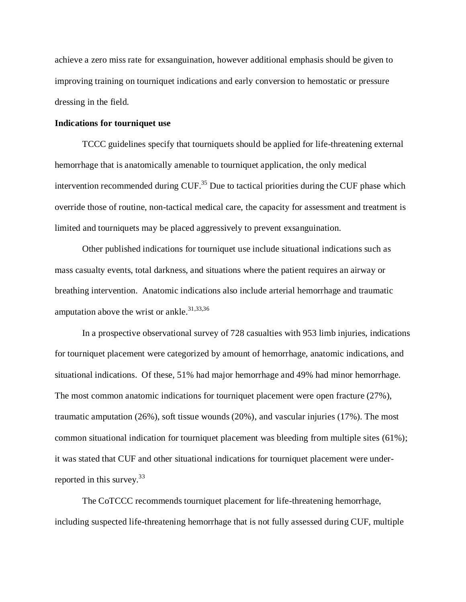achieve a zero miss rate for exsanguination, however additional emphasis should be given to improving training on tourniquet indications and early conversion to hemostatic or pressure dressing in the field.

#### **Indications for tourniquet use**

TCCC guidelines specify that tourniquets should be applied for life-threatening external hemorrhage that is anatomically amenable to tourniquet application, the only medical intervention recommended during  $CUF<sup>35</sup>$  Due to tactical priorities during the CUF phase which override those of routine, non-tactical medical care, the capacity for assessment and treatment is limited and tourniquets may be placed aggressively to prevent exsanguination.

Other published indications for tourniquet use include situational indications such as mass casualty events, total darkness, and situations where the patient requires an airway or breathing intervention. Anatomic indications also include arterial hemorrhage and traumatic amputation above the wrist or ankle.<sup>31,33,36</sup>

In a prospective observational survey of 728 casualties with 953 limb injuries, indications for tourniquet placement were categorized by amount of hemorrhage, anatomic indications, and situational indications. Of these, 51% had major hemorrhage and 49% had minor hemorrhage. The most common anatomic indications for tourniquet placement were open fracture (27%), traumatic amputation (26%), soft tissue wounds (20%), and vascular injuries (17%). The most common situational indication for tourniquet placement was bleeding from multiple sites (61%); it was stated that CUF and other situational indications for tourniquet placement were underreported in this survey.<sup>33</sup>

The CoTCCC recommends tourniquet placement for life-threatening hemorrhage, including suspected life-threatening hemorrhage that is not fully assessed during CUF, multiple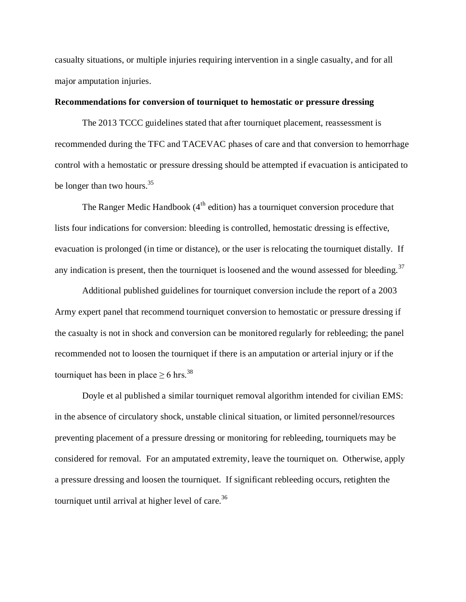casualty situations, or multiple injuries requiring intervention in a single casualty, and for all major amputation injuries.

# **Recommendations for conversion of tourniquet to hemostatic or pressure dressing**

The 2013 TCCC guidelines stated that after tourniquet placement, reassessment is recommended during the TFC and TACEVAC phases of care and that conversion to hemorrhage control with a hemostatic or pressure dressing should be attempted if evacuation is anticipated to be longer than two hours. $35$ 

The Ranger Medic Handbook  $(4<sup>th</sup>$  edition) has a tourniquet conversion procedure that lists four indications for conversion: bleeding is controlled, hemostatic dressing is effective, evacuation is prolonged (in time or distance), or the user is relocating the tourniquet distally. If any indication is present, then the tourniquet is loosened and the wound assessed for bleeding.<sup>37</sup>

Additional published guidelines for tourniquet conversion include the report of a 2003 Army expert panel that recommend tourniquet conversion to hemostatic or pressure dressing if the casualty is not in shock and conversion can be monitored regularly for rebleeding; the panel recommended not to loosen the tourniquet if there is an amputation or arterial injury or if the tourniquet has been in place  $\geq 6$  hrs.<sup>38</sup>

Doyle et al published a similar tourniquet removal algorithm intended for civilian EMS: in the absence of circulatory shock, unstable clinical situation, or limited personnel/resources preventing placement of a pressure dressing or monitoring for rebleeding, tourniquets may be considered for removal. For an amputated extremity, leave the tourniquet on. Otherwise, apply a pressure dressing and loosen the tourniquet. If significant rebleeding occurs, retighten the tourniquet until arrival at higher level of care.<sup>36</sup>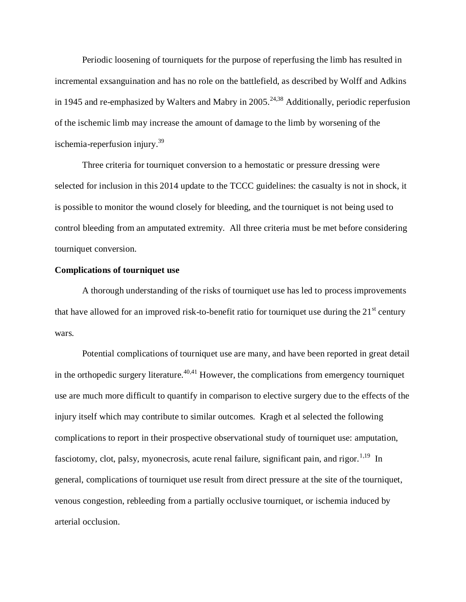Periodic loosening of tourniquets for the purpose of reperfusing the limb has resulted in incremental exsanguination and has no role on the battlefield, as described by Wolff and Adkins in 1945 and re-emphasized by Walters and Mabry in 2005.<sup>24,38</sup> Additionally, periodic reperfusion of the ischemic limb may increase the amount of damage to the limb by worsening of the ischemia-reperfusion injury. $39$ 

Three criteria for tourniquet conversion to a hemostatic or pressure dressing were selected for inclusion in this 2014 update to the TCCC guidelines: the casualty is not in shock, it is possible to monitor the wound closely for bleeding, and the tourniquet is not being used to control bleeding from an amputated extremity. All three criteria must be met before considering tourniquet conversion.

## **Complications of tourniquet use**

A thorough understanding of the risks of tourniquet use has led to process improvements that have allowed for an improved risk-to-benefit ratio for tourniquet use during the  $21<sup>st</sup>$  century wars.

Potential complications of tourniquet use are many, and have been reported in great detail in the orthopedic surgery literature.<sup> $40,41$ </sup> However, the complications from emergency tourniquet use are much more difficult to quantify in comparison to elective surgery due to the effects of the injury itself which may contribute to similar outcomes. Kragh et al selected the following complications to report in their prospective observational study of tourniquet use: amputation, fasciotomy, clot, palsy, myonecrosis, acute renal failure, significant pain, and rigor.<sup>1,19</sup> In general, complications of tourniquet use result from direct pressure at the site of the tourniquet, venous congestion, rebleeding from a partially occlusive tourniquet, or ischemia induced by arterial occlusion.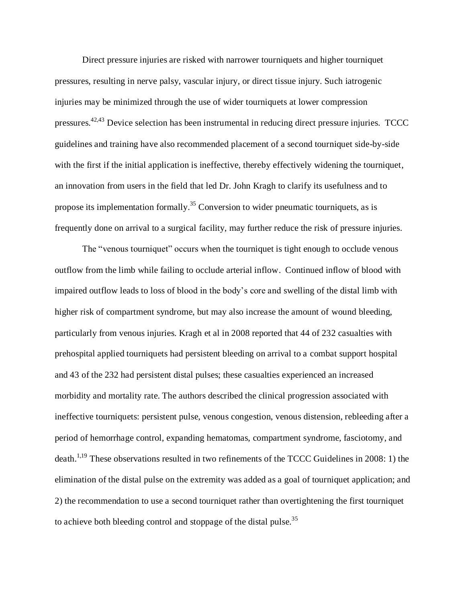Direct pressure injuries are risked with narrower tourniquets and higher tourniquet pressures, resulting in nerve palsy, vascular injury, or direct tissue injury. Such iatrogenic injuries may be minimized through the use of wider tourniquets at lower compression pressures.42,43 Device selection has been instrumental in reducing direct pressure injuries. TCCC guidelines and training have also recommended placement of a second tourniquet side-by-side with the first if the initial application is ineffective, thereby effectively widening the tourniquet, an innovation from users in the field that led Dr. John Kragh to clarify its usefulness and to propose its implementation formally.<sup>35</sup> Conversion to wider pneumatic tourniquets, as is frequently done on arrival to a surgical facility, may further reduce the risk of pressure injuries.

The "venous tourniquet" occurs when the tourniquet is tight enough to occlude venous outflow from the limb while failing to occlude arterial inflow. Continued inflow of blood with impaired outflow leads to loss of blood in the body's core and swelling of the distal limb with higher risk of compartment syndrome, but may also increase the amount of wound bleeding, particularly from venous injuries. Kragh et al in 2008 reported that 44 of 232 casualties with prehospital applied tourniquets had persistent bleeding on arrival to a combat support hospital and 43 of the 232 had persistent distal pulses; these casualties experienced an increased morbidity and mortality rate. The authors described the clinical progression associated with ineffective tourniquets: persistent pulse, venous congestion, venous distension, rebleeding after a period of hemorrhage control, expanding hematomas, compartment syndrome, fasciotomy, and death.<sup>1,19</sup> These observations resulted in two refinements of the TCCC Guidelines in 2008: 1) the elimination of the distal pulse on the extremity was added as a goal of tourniquet application; and 2) the recommendation to use a second tourniquet rather than overtightening the first tourniquet to achieve both bleeding control and stoppage of the distal pulse.<sup>35</sup>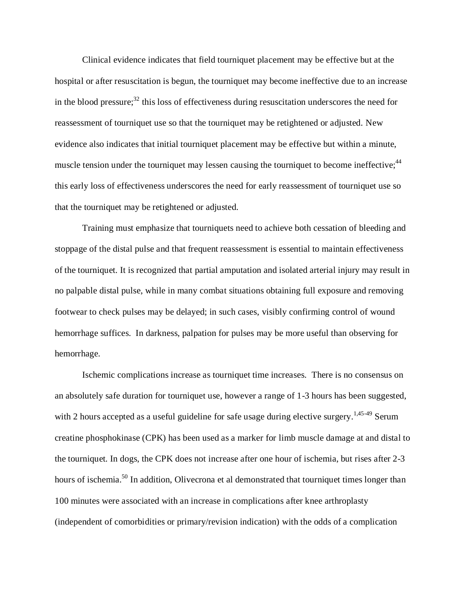Clinical evidence indicates that field tourniquet placement may be effective but at the hospital or after resuscitation is begun, the tourniquet may become ineffective due to an increase in the blood pressure; $^{32}$  this loss of effectiveness during resuscitation underscores the need for reassessment of tourniquet use so that the tourniquet may be retightened or adjusted. New evidence also indicates that initial tourniquet placement may be effective but within a minute, muscle tension under the tourniquet may lessen causing the tourniquet to become ineffective;<sup>44</sup> this early loss of effectiveness underscores the need for early reassessment of tourniquet use so that the tourniquet may be retightened or adjusted.

Training must emphasize that tourniquets need to achieve both cessation of bleeding and stoppage of the distal pulse and that frequent reassessment is essential to maintain effectiveness of the tourniquet. It is recognized that partial amputation and isolated arterial injury may result in no palpable distal pulse, while in many combat situations obtaining full exposure and removing footwear to check pulses may be delayed; in such cases, visibly confirming control of wound hemorrhage suffices. In darkness, palpation for pulses may be more useful than observing for hemorrhage.

Ischemic complications increase as tourniquet time increases. There is no consensus on an absolutely safe duration for tourniquet use, however a range of 1-3 hours has been suggested, with 2 hours accepted as a useful guideline for safe usage during elective surgery.<sup>1,45-49</sup> Serum creatine phosphokinase (CPK) has been used as a marker for limb muscle damage at and distal to the tourniquet. In dogs, the CPK does not increase after one hour of ischemia, but rises after 2-3 hours of ischemia.<sup>50</sup> In addition, Olivecrona et al demonstrated that tourniquet times longer than 100 minutes were associated with an increase in complications after knee arthroplasty (independent of comorbidities or primary/revision indication) with the odds of a complication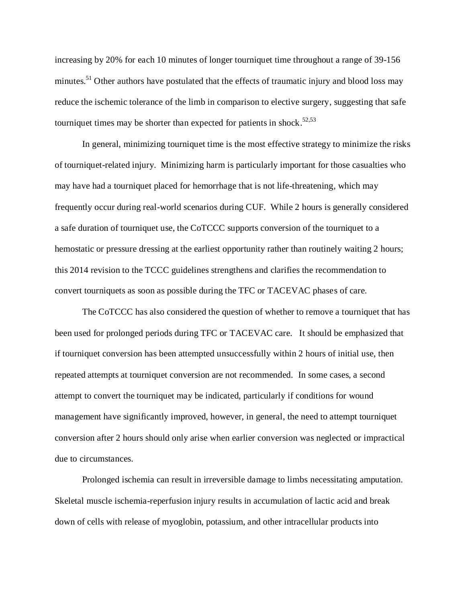increasing by 20% for each 10 minutes of longer tourniquet time throughout a range of 39-156 minutes.<sup>51</sup> Other authors have postulated that the effects of traumatic injury and blood loss may reduce the ischemic tolerance of the limb in comparison to elective surgery, suggesting that safe tourniquet times may be shorter than expected for patients in shock.<sup>52,53</sup>

In general, minimizing tourniquet time is the most effective strategy to minimize the risks of tourniquet-related injury. Minimizing harm is particularly important for those casualties who may have had a tourniquet placed for hemorrhage that is not life-threatening, which may frequently occur during real-world scenarios during CUF. While 2 hours is generally considered a safe duration of tourniquet use, the CoTCCC supports conversion of the tourniquet to a hemostatic or pressure dressing at the earliest opportunity rather than routinely waiting 2 hours; this 2014 revision to the TCCC guidelines strengthens and clarifies the recommendation to convert tourniquets as soon as possible during the TFC or TACEVAC phases of care.

The CoTCCC has also considered the question of whether to remove a tourniquet that has been used for prolonged periods during TFC or TACEVAC care. It should be emphasized that if tourniquet conversion has been attempted unsuccessfully within 2 hours of initial use, then repeated attempts at tourniquet conversion are not recommended. In some cases, a second attempt to convert the tourniquet may be indicated, particularly if conditions for wound management have significantly improved, however, in general, the need to attempt tourniquet conversion after 2 hours should only arise when earlier conversion was neglected or impractical due to circumstances.

Prolonged ischemia can result in irreversible damage to limbs necessitating amputation. Skeletal muscle ischemia-reperfusion injury results in accumulation of lactic acid and break down of cells with release of myoglobin, potassium, and other intracellular products into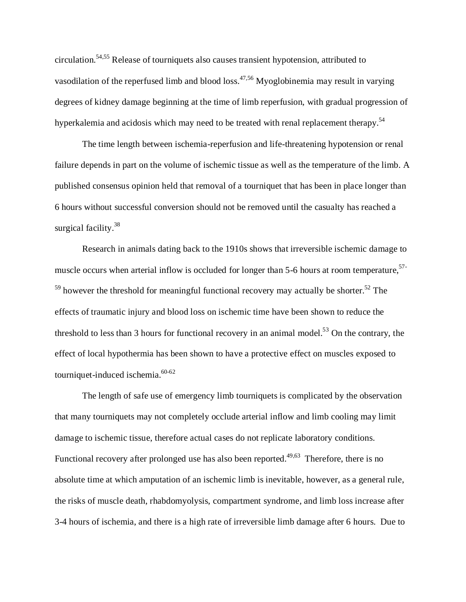circulation.54,55 Release of tourniquets also causes transient hypotension, attributed to vasodilation of the reperfused limb and blood loss.<sup>47,56</sup> Myoglobinemia may result in varying degrees of kidney damage beginning at the time of limb reperfusion, with gradual progression of hyperkalemia and acidosis which may need to be treated with renal replacement therapy.<sup>54</sup>

The time length between ischemia-reperfusion and life-threatening hypotension or renal failure depends in part on the volume of ischemic tissue as well as the temperature of the limb. A published consensus opinion held that removal of a tourniquet that has been in place longer than 6 hours without successful conversion should not be removed until the casualty has reached a surgical facility.<sup>38</sup>

Research in animals dating back to the 1910s shows that irreversible ischemic damage to muscle occurs when arterial inflow is occluded for longer than 5-6 hours at room temperature,<sup>57-</sup>  $59$  however the threshold for meaningful functional recovery may actually be shorter.<sup>52</sup> The effects of traumatic injury and blood loss on ischemic time have been shown to reduce the threshold to less than 3 hours for functional recovery in an animal model.<sup>53</sup> On the contrary, the effect of local hypothermia has been shown to have a protective effect on muscles exposed to tourniquet-induced ischemia.<sup>60-62</sup>

The length of safe use of emergency limb tourniquets is complicated by the observation that many tourniquets may not completely occlude arterial inflow and limb cooling may limit damage to ischemic tissue, therefore actual cases do not replicate laboratory conditions. Functional recovery after prolonged use has also been reported.<sup>49,63</sup> Therefore, there is no absolute time at which amputation of an ischemic limb is inevitable, however, as a general rule, the risks of muscle death, rhabdomyolysis, compartment syndrome, and limb loss increase after 3-4 hours of ischemia, and there is a high rate of irreversible limb damage after 6 hours. Due to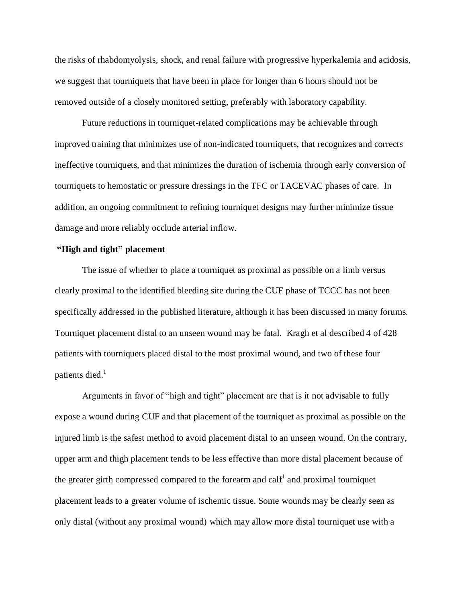the risks of rhabdomyolysis, shock, and renal failure with progressive hyperkalemia and acidosis, we suggest that tourniquets that have been in place for longer than 6 hours should not be removed outside of a closely monitored setting, preferably with laboratory capability.

Future reductions in tourniquet-related complications may be achievable through improved training that minimizes use of non-indicated tourniquets, that recognizes and corrects ineffective tourniquets, and that minimizes the duration of ischemia through early conversion of tourniquets to hemostatic or pressure dressings in the TFC or TACEVAC phases of care. In addition, an ongoing commitment to refining tourniquet designs may further minimize tissue damage and more reliably occlude arterial inflow.

# **"High and tight" placement**

The issue of whether to place a tourniquet as proximal as possible on a limb versus clearly proximal to the identified bleeding site during the CUF phase of TCCC has not been specifically addressed in the published literature, although it has been discussed in many forums. Tourniquet placement distal to an unseen wound may be fatal. Kragh et al described 4 of 428 patients with tourniquets placed distal to the most proximal wound, and two of these four patients died. $<sup>1</sup>$ </sup>

Arguments in favor of "high and tight" placement are that is it not advisable to fully expose a wound during CUF and that placement of the tourniquet as proximal as possible on the injured limb is the safest method to avoid placement distal to an unseen wound. On the contrary, upper arm and thigh placement tends to be less effective than more distal placement because of the greater girth compressed compared to the forearm and calf<sup>1</sup> and proximal tourniquet placement leads to a greater volume of ischemic tissue. Some wounds may be clearly seen as only distal (without any proximal wound) which may allow more distal tourniquet use with a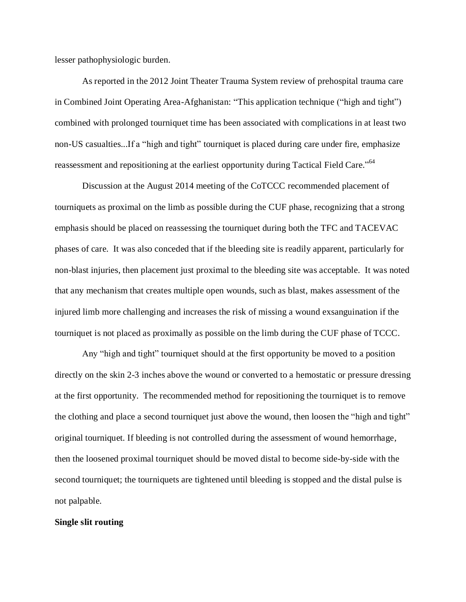lesser pathophysiologic burden.

As reported in the 2012 Joint Theater Trauma System review of prehospital trauma care in Combined Joint Operating Area-Afghanistan: "This application technique ("high and tight") combined with prolonged tourniquet time has been associated with complications in at least two non-US casualties...If a "high and tight" tourniquet is placed during care under fire, emphasize reassessment and repositioning at the earliest opportunity during Tactical Field Care."<sup>64</sup>

Discussion at the August 2014 meeting of the CoTCCC recommended placement of tourniquets as proximal on the limb as possible during the CUF phase, recognizing that a strong emphasis should be placed on reassessing the tourniquet during both the TFC and TACEVAC phases of care. It was also conceded that if the bleeding site is readily apparent, particularly for non-blast injuries, then placement just proximal to the bleeding site was acceptable. It was noted that any mechanism that creates multiple open wounds, such as blast, makes assessment of the injured limb more challenging and increases the risk of missing a wound exsanguination if the tourniquet is not placed as proximally as possible on the limb during the CUF phase of TCCC.

Any "high and tight" tourniquet should at the first opportunity be moved to a position directly on the skin 2-3 inches above the wound or converted to a hemostatic or pressure dressing at the first opportunity. The recommended method for repositioning the tourniquet is to remove the clothing and place a second tourniquet just above the wound, then loosen the "high and tight" original tourniquet. If bleeding is not controlled during the assessment of wound hemorrhage, then the loosened proximal tourniquet should be moved distal to become side-by-side with the second tourniquet; the tourniquets are tightened until bleeding is stopped and the distal pulse is not palpable.

# **Single slit routing**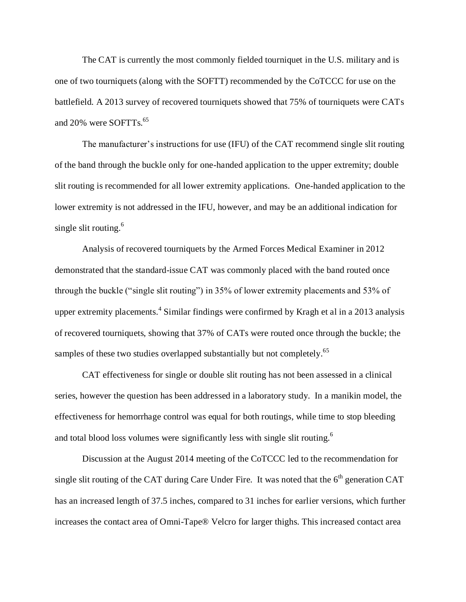The CAT is currently the most commonly fielded tourniquet in the U.S. military and is one of two tourniquets (along with the SOFTT) recommended by the CoTCCC for use on the battlefield. A 2013 survey of recovered tourniquets showed that 75% of tourniquets were CATs and 20% were SOFTTs.<sup>65</sup>

The manufacturer's instructions for use (IFU) of the CAT recommend single slit routing of the band through the buckle only for one-handed application to the upper extremity; double slit routing is recommended for all lower extremity applications. One-handed application to the lower extremity is not addressed in the IFU, however, and may be an additional indication for single slit routing. $6$ 

Analysis of recovered tourniquets by the Armed Forces Medical Examiner in 2012 demonstrated that the standard-issue CAT was commonly placed with the band routed once through the buckle ("single slit routing") in 35% of lower extremity placements and 53% of upper extremity placements.<sup>4</sup> Similar findings were confirmed by Kragh et al in a 2013 analysis of recovered tourniquets, showing that 37% of CATs were routed once through the buckle; the samples of these two studies overlapped substantially but not completely.<sup>65</sup>

CAT effectiveness for single or double slit routing has not been assessed in a clinical series, however the question has been addressed in a laboratory study. In a manikin model, the effectiveness for hemorrhage control was equal for both routings, while time to stop bleeding and total blood loss volumes were significantly less with single slit routing.<sup>6</sup>

Discussion at the August 2014 meeting of the CoTCCC led to the recommendation for single slit routing of the CAT during Care Under Fire. It was noted that the  $6<sup>th</sup>$  generation CAT has an increased length of 37.5 inches, compared to 31 inches for earlier versions, which further increases the contact area of Omni-Tape® Velcro for larger thighs. This increased contact area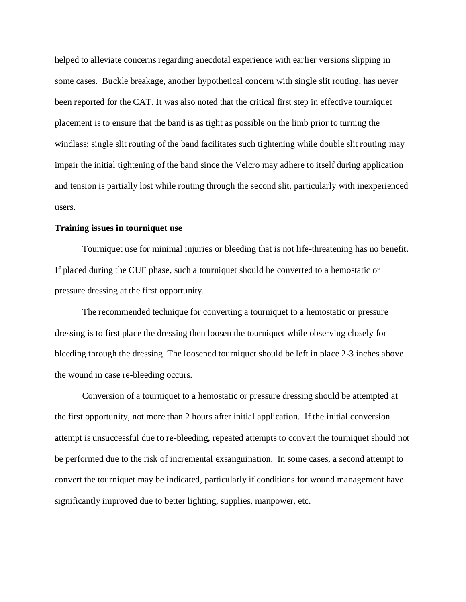helped to alleviate concerns regarding anecdotal experience with earlier versions slipping in some cases. Buckle breakage, another hypothetical concern with single slit routing, has never been reported for the CAT. It was also noted that the critical first step in effective tourniquet placement is to ensure that the band is as tight as possible on the limb prior to turning the windlass; single slit routing of the band facilitates such tightening while double slit routing may impair the initial tightening of the band since the Velcro may adhere to itself during application and tension is partially lost while routing through the second slit, particularly with inexperienced users.

# **Training issues in tourniquet use**

Tourniquet use for minimal injuries or bleeding that is not life-threatening has no benefit. If placed during the CUF phase, such a tourniquet should be converted to a hemostatic or pressure dressing at the first opportunity.

The recommended technique for converting a tourniquet to a hemostatic or pressure dressing is to first place the dressing then loosen the tourniquet while observing closely for bleeding through the dressing. The loosened tourniquet should be left in place 2-3 inches above the wound in case re-bleeding occurs.

Conversion of a tourniquet to a hemostatic or pressure dressing should be attempted at the first opportunity, not more than 2 hours after initial application. If the initial conversion attempt is unsuccessful due to re-bleeding, repeated attempts to convert the tourniquet should not be performed due to the risk of incremental exsanguination. In some cases, a second attempt to convert the tourniquet may be indicated, particularly if conditions for wound management have significantly improved due to better lighting, supplies, manpower, etc.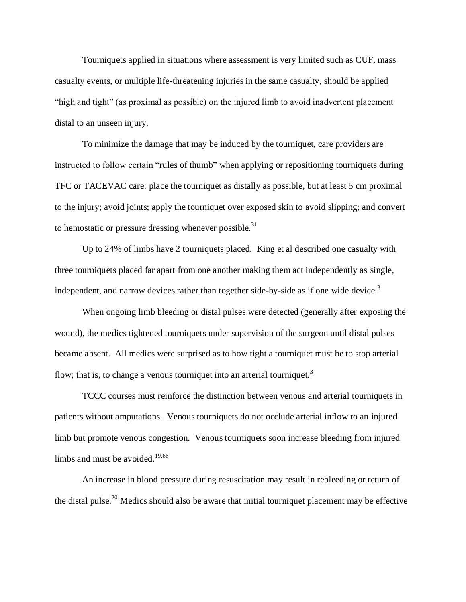Tourniquets applied in situations where assessment is very limited such as CUF, mass casualty events, or multiple life-threatening injuries in the same casualty, should be applied "high and tight" (as proximal as possible) on the injured limb to avoid inadvertent placement distal to an unseen injury.

To minimize the damage that may be induced by the tourniquet, care providers are instructed to follow certain "rules of thumb" when applying or repositioning tourniquets during TFC or TACEVAC care: place the tourniquet as distally as possible, but at least 5 cm proximal to the injury; avoid joints; apply the tourniquet over exposed skin to avoid slipping; and convert to hemostatic or pressure dressing whenever possible.<sup>31</sup>

Up to 24% of limbs have 2 tourniquets placed. King et al described one casualty with three tourniquets placed far apart from one another making them act independently as single, independent, and narrow devices rather than together side-by-side as if one wide device.<sup>3</sup>

When ongoing limb bleeding or distal pulses were detected (generally after exposing the wound), the medics tightened tourniquets under supervision of the surgeon until distal pulses became absent. All medics were surprised as to how tight a tourniquet must be to stop arterial flow; that is, to change a venous tourniquet into an arterial tourniquet.<sup>3</sup>

TCCC courses must reinforce the distinction between venous and arterial tourniquets in patients without amputations. Venous tourniquets do not occlude arterial inflow to an injured limb but promote venous congestion. Venous tourniquets soon increase bleeding from injured limbs and must be avoided. $19,66$ 

An increase in blood pressure during resuscitation may result in rebleeding or return of the distal pulse.<sup>20</sup> Medics should also be aware that initial tourniquet placement may be effective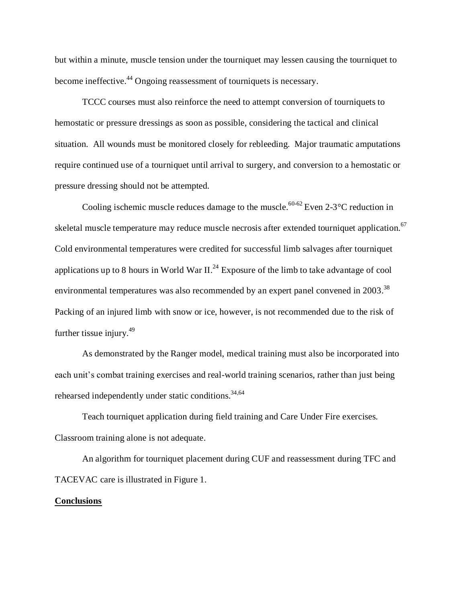but within a minute, muscle tension under the tourniquet may lessen causing the tourniquet to become ineffective.<sup>44</sup> Ongoing reassessment of tourniquets is necessary.

TCCC courses must also reinforce the need to attempt conversion of tourniquets to hemostatic or pressure dressings as soon as possible, considering the tactical and clinical situation. All wounds must be monitored closely for rebleeding. Major traumatic amputations require continued use of a tourniquet until arrival to surgery, and conversion to a hemostatic or pressure dressing should not be attempted.

Cooling ischemic muscle reduces damage to the muscle.<sup>60-62</sup> Even 2-3 °C reduction in skeletal muscle temperature may reduce muscle necrosis after extended tourniquet application.<sup>67</sup> Cold environmental temperatures were credited for successful limb salvages after tourniquet applications up to 8 hours in World War II.<sup>24</sup> Exposure of the limb to take advantage of cool environmental temperatures was also recommended by an expert panel convened in 2003.<sup>38</sup> Packing of an injured limb with snow or ice, however, is not recommended due to the risk of further tissue injury. $49$ 

As demonstrated by the Ranger model, medical training must also be incorporated into each unit's combat training exercises and real-world training scenarios, rather than just being rehearsed independently under static conditions.<sup>34,64</sup>

Teach tourniquet application during field training and Care Under Fire exercises. Classroom training alone is not adequate.

An algorithm for tourniquet placement during CUF and reassessment during TFC and TACEVAC care is illustrated in Figure 1.

# **Conclusions**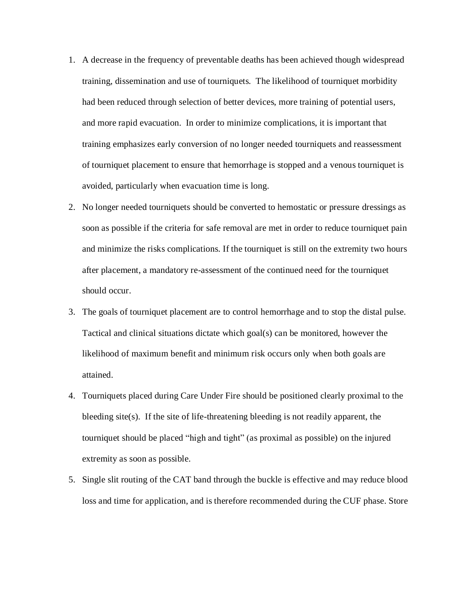- 1. A decrease in the frequency of preventable deaths has been achieved though widespread training, dissemination and use of tourniquets. The likelihood of tourniquet morbidity had been reduced through selection of better devices, more training of potential users, and more rapid evacuation. In order to minimize complications, it is important that training emphasizes early conversion of no longer needed tourniquets and reassessment of tourniquet placement to ensure that hemorrhage is stopped and a venous tourniquet is avoided, particularly when evacuation time is long.
- 2. No longer needed tourniquets should be converted to hemostatic or pressure dressings as soon as possible if the criteria for safe removal are met in order to reduce tourniquet pain and minimize the risks complications. If the tourniquet is still on the extremity two hours after placement, a mandatory re-assessment of the continued need for the tourniquet should occur.
- 3. The goals of tourniquet placement are to control hemorrhage and to stop the distal pulse. Tactical and clinical situations dictate which goal(s) can be monitored, however the likelihood of maximum benefit and minimum risk occurs only when both goals are attained.
- 4. Tourniquets placed during Care Under Fire should be positioned clearly proximal to the bleeding site(s). If the site of life-threatening bleeding is not readily apparent, the tourniquet should be placed "high and tight" (as proximal as possible) on the injured extremity as soon as possible.
- 5. Single slit routing of the CAT band through the buckle is effective and may reduce blood loss and time for application, and is therefore recommended during the CUF phase. Store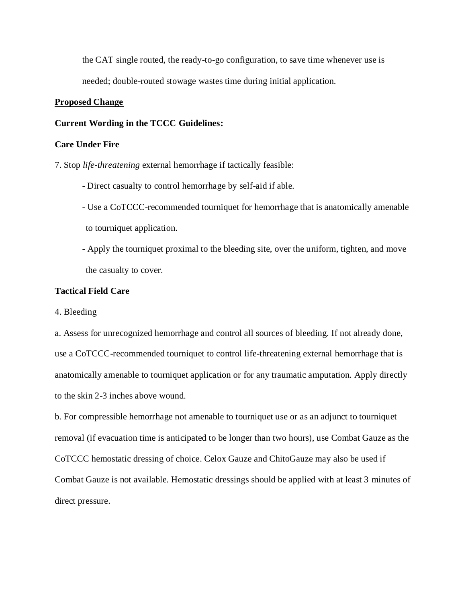the CAT single routed, the ready-to-go configuration, to save time whenever use is needed; double-routed stowage wastes time during initial application.

# **Proposed Change**

#### **Current Wording in the TCCC Guidelines:**

## **Care Under Fire**

7. Stop *life-threatening* external hemorrhage if tactically feasible:

- Direct casualty to control hemorrhage by self-aid if able.
- Use a CoTCCC-recommended tourniquet for hemorrhage that is anatomically amenable to tourniquet application.
- Apply the tourniquet proximal to the bleeding site, over the uniform, tighten, and move the casualty to cover.

# **Tactical Field Care**

4. Bleeding

a. Assess for unrecognized hemorrhage and control all sources of bleeding. If not already done, use a CoTCCC-recommended tourniquet to control life-threatening external hemorrhage that is anatomically amenable to tourniquet application or for any traumatic amputation. Apply directly to the skin 2-3 inches above wound.

b. For compressible hemorrhage not amenable to tourniquet use or as an adjunct to tourniquet removal (if evacuation time is anticipated to be longer than two hours), use Combat Gauze as the CoTCCC hemostatic dressing of choice. Celox Gauze and ChitoGauze may also be used if Combat Gauze is not available. Hemostatic dressings should be applied with at least 3 minutes of direct pressure.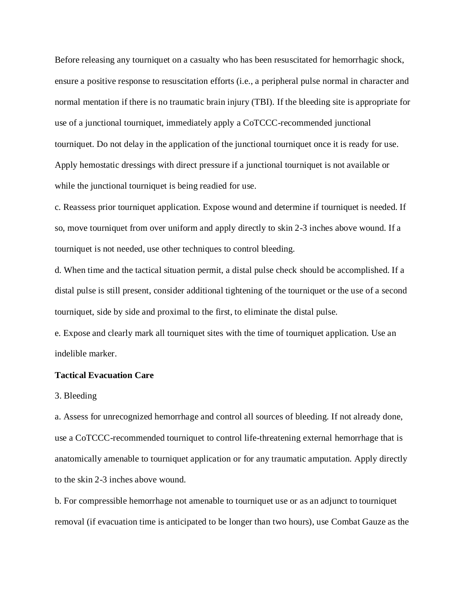Before releasing any tourniquet on a casualty who has been resuscitated for hemorrhagic shock, ensure a positive response to resuscitation efforts (i.e., a peripheral pulse normal in character and normal mentation if there is no traumatic brain injury (TBI). If the bleeding site is appropriate for use of a junctional tourniquet, immediately apply a CoTCCC-recommended junctional tourniquet. Do not delay in the application of the junctional tourniquet once it is ready for use. Apply hemostatic dressings with direct pressure if a junctional tourniquet is not available or while the junctional tourniquet is being readied for use.

c. Reassess prior tourniquet application. Expose wound and determine if tourniquet is needed. If so, move tourniquet from over uniform and apply directly to skin 2-3 inches above wound. If a tourniquet is not needed, use other techniques to control bleeding.

d. When time and the tactical situation permit, a distal pulse check should be accomplished. If a distal pulse is still present, consider additional tightening of the tourniquet or the use of a second tourniquet, side by side and proximal to the first, to eliminate the distal pulse.

e. Expose and clearly mark all tourniquet sites with the time of tourniquet application. Use an indelible marker.

## **Tactical Evacuation Care**

#### 3. Bleeding

a. Assess for unrecognized hemorrhage and control all sources of bleeding. If not already done, use a CoTCCC-recommended tourniquet to control life-threatening external hemorrhage that is anatomically amenable to tourniquet application or for any traumatic amputation. Apply directly to the skin 2-3 inches above wound.

b. For compressible hemorrhage not amenable to tourniquet use or as an adjunct to tourniquet removal (if evacuation time is anticipated to be longer than two hours), use Combat Gauze as the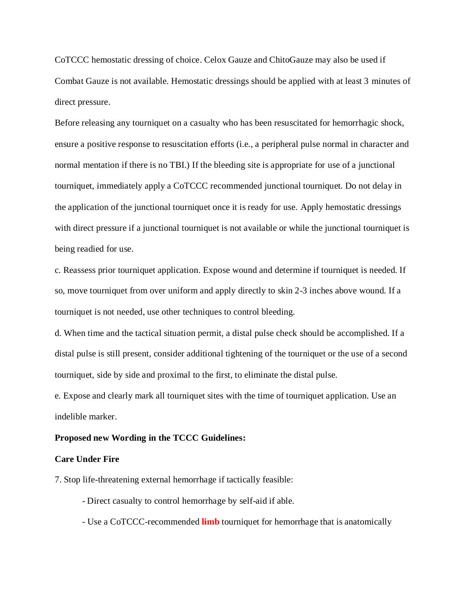CoTCCC hemostatic dressing of choice. Celox Gauze and ChitoGauze may also be used if Combat Gauze is not available. Hemostatic dressings should be applied with at least 3 minutes of direct pressure.

Before releasing any tourniquet on a casualty who has been resuscitated for hemorrhagic shock, ensure a positive response to resuscitation efforts (i.e., a peripheral pulse normal in character and normal mentation if there is no TBI.) If the bleeding site is appropriate for use of a junctional tourniquet, immediately apply a CoTCCC recommended junctional tourniquet. Do not delay in the application of the junctional tourniquet once it is ready for use. Apply hemostatic dressings with direct pressure if a junctional tourniquet is not available or while the junctional tourniquet is being readied for use.

c. Reassess prior tourniquet application. Expose wound and determine if tourniquet is needed. If so, move tourniquet from over uniform and apply directly to skin 2-3 inches above wound. If a tourniquet is not needed, use other techniques to control bleeding.

d. When time and the tactical situation permit, a distal pulse check should be accomplished. If a distal pulse is still present, consider additional tightening of the tourniquet or the use of a second tourniquet, side by side and proximal to the first, to eliminate the distal pulse.

e. Expose and clearly mark all tourniquet sites with the time of tourniquet application. Use an indelible marker.

#### **Proposed new Wording in the TCCC Guidelines:**

#### **Care Under Fire**

7. Stop life-threatening external hemorrhage if tactically feasible:

- Direct casualty to control hemorrhage by self-aid if able.

- Use a CoTCCC-recommended **limb** tourniquet for hemorrhage that is anatomically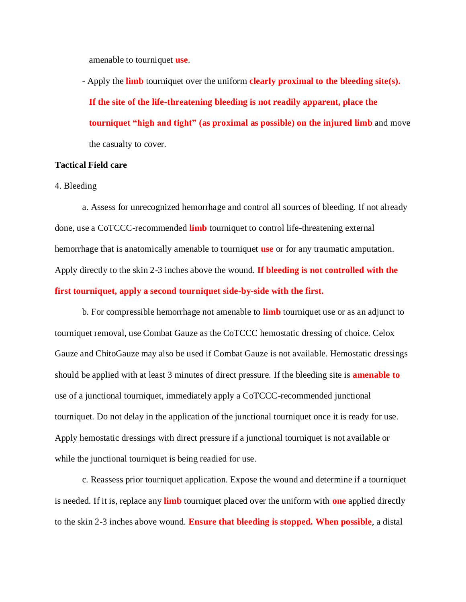amenable to tourniquet **use**.

- Apply the **limb** tourniquet over the uniform **clearly proximal to the bleeding site(s). If the site of the life-threatening bleeding is not readily apparent, place the tourniquet "high and tight" (as proximal as possible) on the injured limb** and move the casualty to cover.

# **Tactical Field care**

#### 4. Bleeding

a. Assess for unrecognized hemorrhage and control all sources of bleeding. If not already done, use a CoTCCC-recommended **limb** tourniquet to control life-threatening external hemorrhage that is anatomically amenable to tourniquet **use** or for any traumatic amputation. Apply directly to the skin 2-3 inches above the wound. **If bleeding is not controlled with the first tourniquet, apply a second tourniquet side-by-side with the first.**

b. For compressible hemorrhage not amenable to **limb** tourniquet use or as an adjunct to tourniquet removal, use Combat Gauze as the CoTCCC hemostatic dressing of choice. Celox Gauze and ChitoGauze may also be used if Combat Gauze is not available. Hemostatic dressings should be applied with at least 3 minutes of direct pressure. If the bleeding site is **amenable to** use of a junctional tourniquet, immediately apply a CoTCCC-recommended junctional tourniquet. Do not delay in the application of the junctional tourniquet once it is ready for use. Apply hemostatic dressings with direct pressure if a junctional tourniquet is not available or while the junctional tourniquet is being readied for use.

c. Reassess prior tourniquet application. Expose the wound and determine if a tourniquet is needed. If it is, replace any **limb** tourniquet placed over the uniform with **one** applied directly to the skin 2-3 inches above wound. **Ensure that bleeding is stopped. When possible**, a distal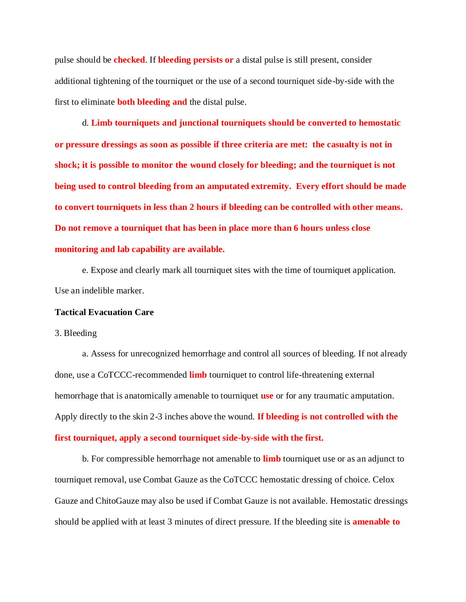pulse should be **checked**. If **bleeding persists or** a distal pulse is still present, consider additional tightening of the tourniquet or the use of a second tourniquet side-by-side with the first to eliminate **both bleeding and** the distal pulse.

d. **Limb tourniquets and junctional tourniquets should be converted to hemostatic or pressure dressings as soon as possible if three criteria are met: the casualty is not in shock; it is possible to monitor the wound closely for bleeding; and the tourniquet is not being used to control bleeding from an amputated extremity. Every effort should be made to convert tourniquets in less than 2 hours if bleeding can be controlled with other means. Do not remove a tourniquet that has been in place more than 6 hours unless close monitoring and lab capability are available.** 

e. Expose and clearly mark all tourniquet sites with the time of tourniquet application. Use an indelible marker.

#### **Tactical Evacuation Care**

#### 3. Bleeding

a. Assess for unrecognized hemorrhage and control all sources of bleeding. If not already done, use a CoTCCC-recommended **limb** tourniquet to control life-threatening external hemorrhage that is anatomically amenable to tourniquet **use** or for any traumatic amputation. Apply directly to the skin 2-3 inches above the wound. **If bleeding is not controlled with the** 

# **first tourniquet, apply a second tourniquet side-by-side with the first.**

b. For compressible hemorrhage not amenable to **limb** tourniquet use or as an adjunct to tourniquet removal, use Combat Gauze as the CoTCCC hemostatic dressing of choice. Celox Gauze and ChitoGauze may also be used if Combat Gauze is not available. Hemostatic dressings should be applied with at least 3 minutes of direct pressure. If the bleeding site is **amenable to**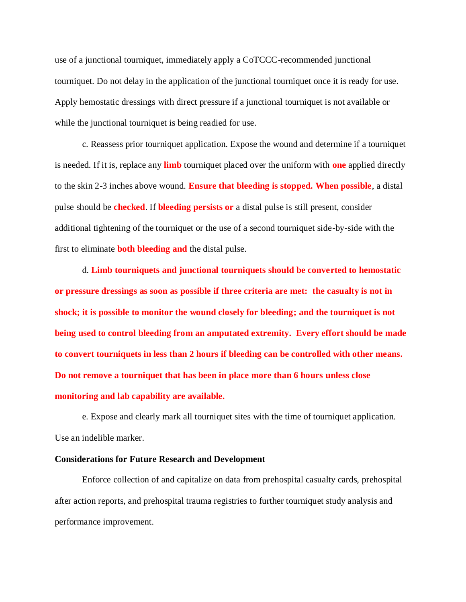use of a junctional tourniquet, immediately apply a CoTCCC-recommended junctional tourniquet. Do not delay in the application of the junctional tourniquet once it is ready for use. Apply hemostatic dressings with direct pressure if a junctional tourniquet is not available or while the junctional tourniquet is being readied for use.

c. Reassess prior tourniquet application. Expose the wound and determine if a tourniquet is needed. If it is, replace any **limb** tourniquet placed over the uniform with **one** applied directly to the skin 2-3 inches above wound. **Ensure that bleeding is stopped. When possible**, a distal pulse should be **checked**. If **bleeding persists or** a distal pulse is still present, consider additional tightening of the tourniquet or the use of a second tourniquet side-by-side with the first to eliminate **both bleeding and** the distal pulse.

d. **Limb tourniquets and junctional tourniquets should be converted to hemostatic or pressure dressings as soon as possible if three criteria are met: the casualty is not in shock; it is possible to monitor the wound closely for bleeding; and the tourniquet is not being used to control bleeding from an amputated extremity. Every effort should be made to convert tourniquets in less than 2 hours if bleeding can be controlled with other means. Do not remove a tourniquet that has been in place more than 6 hours unless close monitoring and lab capability are available.**

e. Expose and clearly mark all tourniquet sites with the time of tourniquet application. Use an indelible marker.

# **Considerations for Future Research and Development**

Enforce collection of and capitalize on data from prehospital casualty cards, prehospital after action reports, and prehospital trauma registries to further tourniquet study analysis and performance improvement.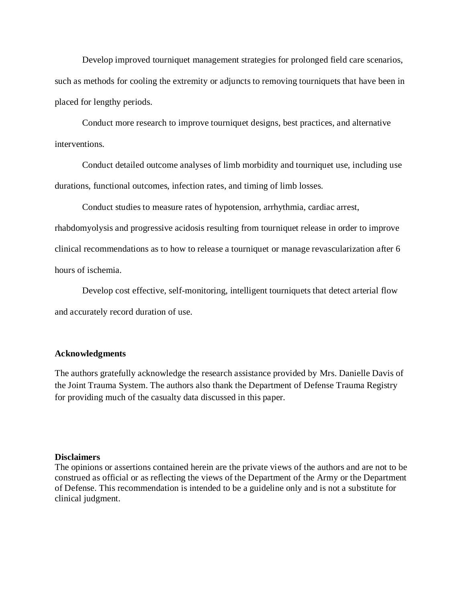Develop improved tourniquet management strategies for prolonged field care scenarios, such as methods for cooling the extremity or adjuncts to removing tourniquets that have been in placed for lengthy periods.

Conduct more research to improve tourniquet designs, best practices, and alternative interventions.

Conduct detailed outcome analyses of limb morbidity and tourniquet use, including use durations, functional outcomes, infection rates, and timing of limb losses.

Conduct studies to measure rates of hypotension, arrhythmia, cardiac arrest, rhabdomyolysis and progressive acidosis resulting from tourniquet release in order to improve clinical recommendations as to how to release a tourniquet or manage revascularization after 6 hours of ischemia.

Develop cost effective, self-monitoring, intelligent tourniquets that detect arterial flow and accurately record duration of use.

# **Acknowledgments**

The authors gratefully acknowledge the research assistance provided by Mrs. Danielle Davis of the Joint Trauma System. The authors also thank the Department of Defense Trauma Registry for providing much of the casualty data discussed in this paper.

# **Disclaimers**

The opinions or assertions contained herein are the private views of the authors and are not to be construed as official or as reflecting the views of the Department of the Army or the Department of Defense. This recommendation is intended to be a guideline only and is not a substitute for clinical judgment.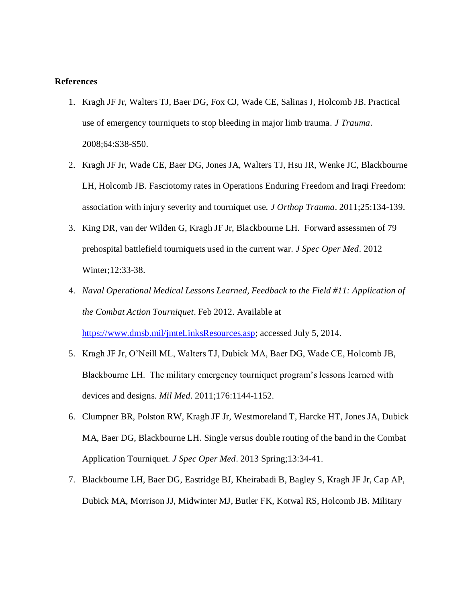# **References**

- 1. Kragh JF Jr, Walters TJ, Baer DG, Fox CJ, Wade CE, Salinas J, Holcomb JB. Practical use of emergency tourniquets to stop bleeding in major limb trauma. *J Trauma*. 2008;64:S38-S50.
- 2. Kragh JF Jr, Wade CE, Baer DG, Jones JA, Walters TJ, Hsu JR, Wenke JC, Blackbourne LH, Holcomb JB. Fasciotomy rates in Operations Enduring Freedom and Iraqi Freedom: association with injury severity and tourniquet use. *J Orthop Trauma*. 2011;25:134-139.
- 3. King DR, van der Wilden G, Kragh JF Jr, Blackbourne LH. Forward assessmen of 79 prehospital battlefield tourniquets used in the current war. *J Spec Oper Med*. 2012 Winter;12:33-38.
- 4. *Naval Operational Medical Lessons Learned, Feedback to the Field #11: Application of the Combat Action Tourniquet*. Feb 2012. Available at [https://www.dmsb.mil/jmteLinksResources.asp;](https://www.dmsb.mil/jmteLinksResources.asp) accessed July 5, 2014.
- 5. Kragh JF Jr, O'Neill ML, Walters TJ, Dubick MA, Baer DG, Wade CE, Holcomb JB, Blackbourne LH. The military emergency tourniquet program's lessons learned with devices and designs. *Mil Med*. 2011;176:1144-1152.
- 6. Clumpner BR, Polston RW, Kragh JF Jr, Westmoreland T, Harcke HT, Jones JA, Dubick MA, Baer DG, Blackbourne LH. Single versus double routing of the band in the Combat Application Tourniquet. *J Spec Oper Med*. 2013 Spring;13:34-41.
- 7. Blackbourne LH, Baer DG, Eastridge BJ, Kheirabadi B, Bagley S, Kragh JF Jr, Cap AP, Dubick MA, Morrison JJ, Midwinter MJ, Butler FK, Kotwal RS, Holcomb JB. Military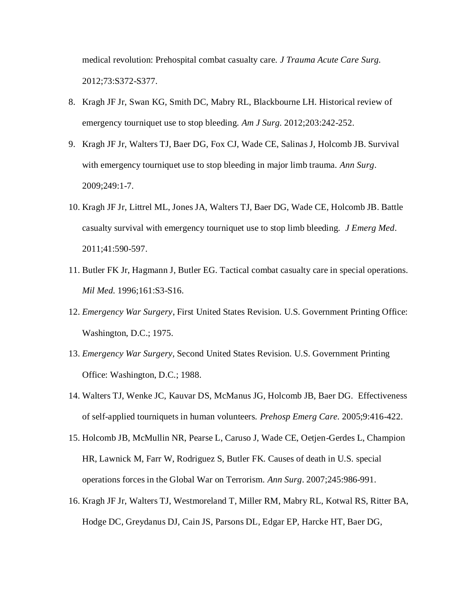medical revolution: Prehospital combat casualty care. *J Trauma Acute Care Surg.* 2012;73:S372-S377.

- 8. Kragh JF Jr, Swan KG, Smith DC, Mabry RL, Blackbourne LH. Historical review of emergency tourniquet use to stop bleeding. *Am J Surg.* 2012;203:242-252.
- 9. Kragh JF Jr, Walters TJ, Baer DG, Fox CJ, Wade CE, Salinas J, Holcomb JB. Survival with emergency tourniquet use to stop bleeding in major limb trauma. *Ann Surg*. 2009;249:1-7.
- 10. Kragh JF Jr, Littrel ML, Jones JA, Walters TJ, Baer DG, Wade CE, Holcomb JB. Battle casualty survival with emergency tourniquet use to stop limb bleeding. *J Emerg Med*. 2011;41:590-597.
- 11. Butler FK Jr, Hagmann J, Butler EG. Tactical combat casualty care in special operations. *Mil Med.* 1996;161:S3-S16.
- 12. *Emergency War Surgery*, First United States Revision. U.S. Government Printing Office: Washington, D.C.; 1975.
- 13. *Emergency War Surgery,* Second United States Revision. U.S. Government Printing Office: Washington, D.C.; 1988.
- 14. Walters TJ, Wenke JC, Kauvar DS, McManus JG, Holcomb JB, Baer DG. Effectiveness of self-applied tourniquets in human volunteers. *Prehosp Emerg Care.* 2005;9:416-422.
- 15. Holcomb JB, McMullin NR, Pearse L, Caruso J, Wade CE, Oetjen-Gerdes L, Champion HR, Lawnick M, Farr W, Rodriguez S, Butler FK. Causes of death in U.S. special operations forces in the Global War on Terrorism. *Ann Surg*. 2007;245:986-991.
- 16. Kragh JF Jr, Walters TJ, Westmoreland T, Miller RM, Mabry RL, Kotwal RS, Ritter BA, Hodge DC, Greydanus DJ, Cain JS, Parsons DL, Edgar EP, Harcke HT, Baer DG,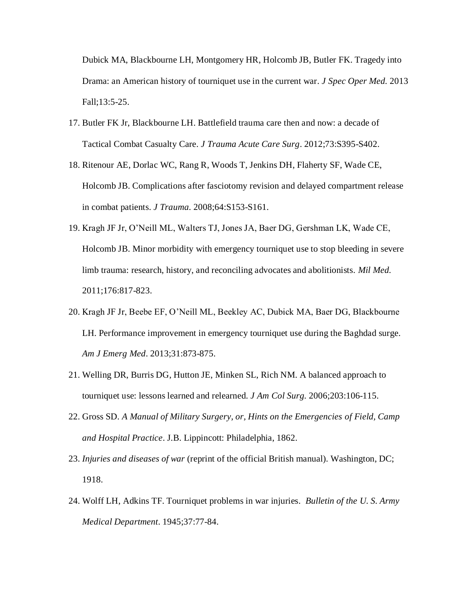Dubick MA, Blackbourne LH, Montgomery HR, Holcomb JB, Butler FK. Tragedy into Drama: an American history of tourniquet use in the current war*. J Spec Oper Med.* 2013 Fall;13:5-25.

- 17. Butler FK Jr, Blackbourne LH. Battlefield trauma care then and now: a decade of Tactical Combat Casualty Care. *J Trauma Acute Care Surg*. 2012;73:S395-S402.
- 18. Ritenour AE, Dorlac WC, Rang R, Woods T, Jenkins DH, Flaherty SF, Wade CE, Holcomb JB. Complications after fasciotomy revision and delayed compartment release in combat patients. *J Trauma.* 2008;64:S153-S161.
- 19. Kragh JF Jr, O'Neill ML, Walters TJ, Jones JA, Baer DG, Gershman LK, Wade CE, Holcomb JB. Minor morbidity with emergency tourniquet use to stop bleeding in severe limb trauma: research, history, and reconciling advocates and abolitionists. *Mil Med.* 2011;176:817-823.
- 20. Kragh JF Jr, Beebe EF, O'Neill ML, Beekley AC, Dubick MA, Baer DG, Blackbourne LH. Performance improvement in emergency tourniquet use during the Baghdad surge. *Am J Emerg Med*. 2013;31:873-875.
- 21. Welling DR, Burris DG, Hutton JE, Minken SL, Rich NM. A balanced approach to tourniquet use: lessons learned and relearned*. J Am Col Surg.* 2006;203:106-115.
- 22. Gross SD. *A Manual of Military Surgery, or, Hints on the Emergencies of Field, Camp and Hospital Practice*. J.B. Lippincott: Philadelphia, 1862.
- 23. *Injuries and diseases of war* (reprint of the official British manual). Washington, DC; 1918.
- 24. Wolff LH, Adkins TF. Tourniquet problems in war injuries*. Bulletin of the U. S. Army Medical Department*. 1945;37:77-84.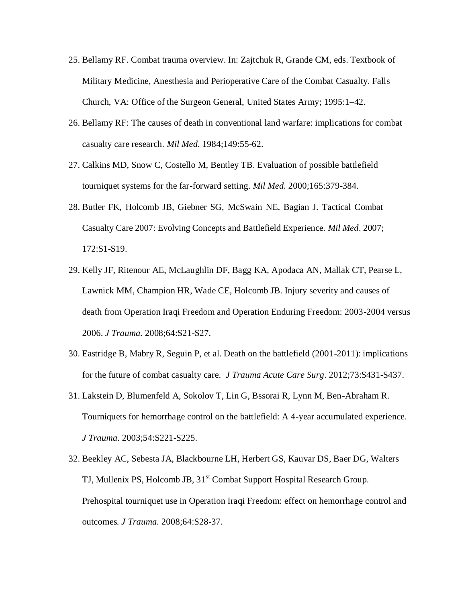- 25. Bellamy RF. Combat trauma overview. In: Zajtchuk R, Grande CM, eds. Textbook of Military Medicine, Anesthesia and Perioperative Care of the Combat Casualty. Falls Church, VA: Office of the Surgeon General, United States Army; 1995:1–42.
- 26. Bellamy RF: The causes of death in conventional land warfare: implications for combat casualty care research. *Mil Med.* 1984;149:55-62.
- 27. Calkins MD, Snow C, Costello M, Bentley TB. Evaluation of possible battlefield tourniquet systems for the far-forward setting. *Mil Med.* 2000;165:379-384.
- 28. Butler FK, Holcomb JB, Giebner SG, McSwain NE, Bagian J. Tactical Combat Casualty Care 2007: Evolving Concepts and Battlefield Experience. *Mil Med*. 2007; 172:S1-S19.
- 29. Kelly JF, Ritenour AE, McLaughlin DF, Bagg KA, Apodaca AN, Mallak CT, Pearse L, Lawnick MM, Champion HR, Wade CE, Holcomb JB. Injury severity and causes of death from Operation Iraqi Freedom and Operation Enduring Freedom: 2003-2004 versus 2006. *J Trauma.* 2008;64:S21-S27.
- 30. Eastridge B, Mabry R, Seguin P, et al. Death on the battlefield (2001-2011): implications for the future of combat casualty care. *J Trauma Acute Care Surg*. 2012;73:S431-S437.
- 31. Lakstein D, Blumenfeld A, Sokolov T, Lin G, Bssorai R, Lynn M, Ben-Abraham R. Tourniquets for hemorrhage control on the battlefield: A 4-year accumulated experience. *J Trauma*. 2003;54:S221-S225.
- 32. Beekley AC, Sebesta JA, Blackbourne LH, Herbert GS, Kauvar DS, Baer DG, Walters TJ, Mullenix PS, Holcomb JB, 31<sup>st</sup> Combat Support Hospital Research Group. Prehospital tourniquet use in Operation Iraqi Freedom: effect on hemorrhage control and outcomes*. J Trauma.* 2008;64:S28-37.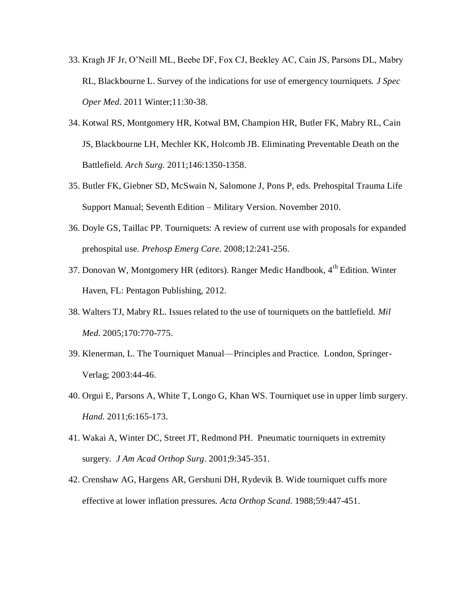- 33. Kragh JF Jr, O'Neill ML, Beebe DF, Fox CJ, Beekley AC, Cain JS, Parsons DL, Mabry RL, Blackbourne L. Survey of the indications for use of emergency tourniquets. *J Spec Oper Med.* 2011 Winter;11:30-38.
- 34. Kotwal RS, Montgomery HR, Kotwal BM, Champion HR, Butler FK, Mabry RL, Cain JS, Blackbourne LH, Mechler KK, Holcomb JB. Eliminating Preventable Death on the Battlefield. *Arch Surg.* 2011;146:1350-1358.
- 35. Butler FK, Giebner SD, McSwain N, Salomone J, Pons P, eds. Prehospital Trauma Life Support Manual; Seventh Edition – Military Version. November 2010.
- 36. Doyle GS, Taillac PP. Tourniquets: A review of current use with proposals for expanded prehospital use. *Prehosp Emerg Care.* 2008;12:241-256.
- 37. Donovan W, Montgomery HR (editors). Ranger Medic Handbook,  $4<sup>th</sup>$  Edition. Winter Haven, FL: Pentagon Publishing, 2012.
- 38. Walters TJ, Mabry RL. Issues related to the use of tourniquets on the battlefield. *Mil Med.* 2005;170:770-775.
- 39. Klenerman, L. The Tourniquet Manual—Principles and Practice. London, Springer-Verlag; 2003:44-46.
- 40. Orgui E, Parsons A, White T, Longo G, Khan WS. Tourniquet use in upper limb surgery. *Hand.* 2011;6:165-173.
- 41. Wakai A, Winter DC, Street JT, Redmond PH. Pneumatic tourniquets in extremity surgery*. J Am Acad Orthop Surg*. 2001;9:345-351.
- 42. Crenshaw AG, Hargens AR, Gershuni DH, Rydevik B. Wide tourniquet cuffs more effective at lower inflation pressures. *Acta Orthop Scand.* 1988;59:447-451.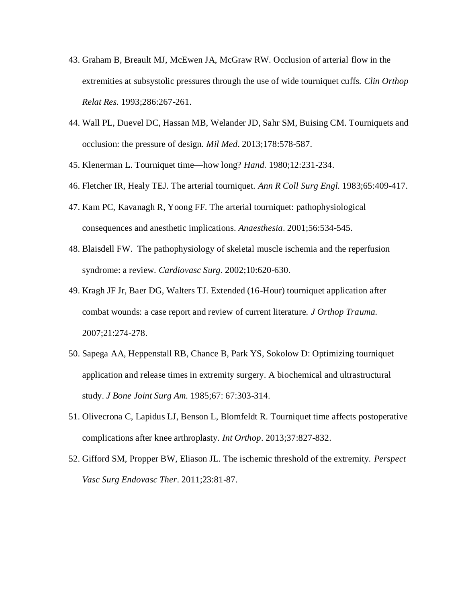- 43. Graham B, Breault MJ, McEwen JA, McGraw RW. Occlusion of arterial flow in the extremities at subsystolic pressures through the use of wide tourniquet cuffs. *Clin Orthop Relat Res.* 1993;286:267-261.
- 44. Wall PL, Duevel DC, Hassan MB, Welander JD, Sahr SM, Buising CM. Tourniquets and occlusion: the pressure of design. *Mil Med*. 2013;178:578-587.
- 45. Klenerman L. Tourniquet time—how long? *Hand.* 1980;12:231-234.
- 46. Fletcher IR, Healy TEJ. The arterial tourniquet. *Ann R Coll Surg Engl.* 1983;65:409-417.
- 47. Kam PC, Kavanagh R, Yoong FF. The arterial tourniquet: pathophysiological consequences and anesthetic implications. *Anaesthesia*. 2001;56:534-545.
- 48. Blaisdell FW. The pathophysiology of skeletal muscle ischemia and the reperfusion syndrome: a review. *Cardiovasc Surg*. 2002;10:620-630.
- 49. Kragh JF Jr, Baer DG, Walters TJ. Extended (16-Hour) tourniquet application after combat wounds: a case report and review of current literature. *J Orthop Trauma.* 2007;21:274-278.
- 50. Sapega AA, Heppenstall RB, Chance B, Park YS, Sokolow D: Optimizing tourniquet application and release times in extremity surgery. A biochemical and ultrastructural study. *J Bone Joint Surg Am.* 1985;67: 67:303-314.
- 51. Olivecrona C, Lapidus LJ, Benson L, Blomfeldt R. Tourniquet time affects postoperative complications after knee arthroplasty. *Int Orthop*. 2013;37:827-832.
- 52. Gifford SM, Propper BW, Eliason JL. The ischemic threshold of the extremity. *Perspect Vasc Surg Endovasc Ther*. 2011;23:81-87.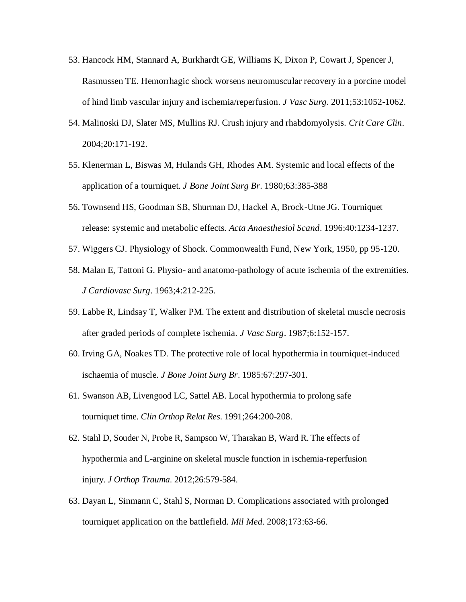- 53. Hancock HM, Stannard A, Burkhardt GE, Williams K, Dixon P, Cowart J, Spencer J, Rasmussen TE. Hemorrhagic shock worsens neuromuscular recovery in a porcine model of hind limb vascular injury and ischemia/reperfusion. *J Vasc Surg*. 2011;53:1052-1062.
- 54. Malinoski DJ, Slater MS, Mullins RJ. Crush injury and rhabdomyolysis. *Crit Care Clin*. 2004;20:171-192.
- 55. Klenerman L, Biswas M, Hulands GH, Rhodes AM. Systemic and local effects of the application of a tourniquet. *J Bone Joint Surg Br*. 1980;63:385-388
- 56. Townsend HS, Goodman SB, Shurman DJ, Hackel A, Brock-Utne JG. Tourniquet release: systemic and metabolic effects. *Acta Anaesthesiol Scand*. 1996:40:1234-1237.
- 57. Wiggers CJ. Physiology of Shock. Commonwealth Fund, New York, 1950, pp 95-120.
- 58. Malan E, Tattoni G. Physio- and anatomo-pathology of acute ischemia of the extremities. *J Cardiovasc Surg*. 1963;4:212-225.
- 59. Labbe R, Lindsay T, Walker PM. The extent and distribution of skeletal muscle necrosis after graded periods of complete ischemia. *J Vasc Surg*. 1987;6:152-157.
- 60. Irving GA, Noakes TD*.* The protective role of local hypothermia in tourniquet-induced ischaemia of muscle. *J Bone Joint Surg Br*. 1985:67:297-301.
- 61. Swanson AB, Livengood LC, Sattel AB. Local hypothermia to prolong safe tourniquet time. *Clin Orthop Relat Res*. 1991;264:200-208.
- 62. Stahl D, Souder N, Probe R, Sampson W, Tharakan B, Ward R. The effects of hypothermia and L-arginine on skeletal muscle function in ischemia-reperfusion injury. *J Orthop Trauma.* 2012;26:579-584.
- 63. Dayan L, Sinmann C, Stahl S, Norman D. Complications associated with prolonged tourniquet application on the battlefield. *Mil Med*. 2008;173:63-66.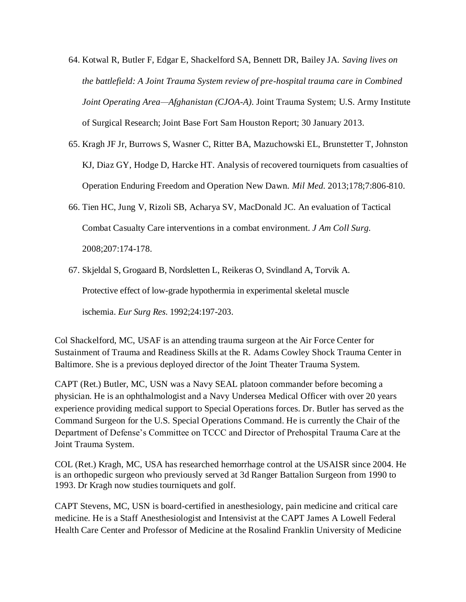- 64. Kotwal R, Butler F, Edgar E, Shackelford SA, Bennett DR, Bailey JA. *Saving lives on the battlefield: A Joint Trauma System review of pre-hospital trauma care in Combined Joint Operating Area—Afghanistan (CJOA-A).* Joint Trauma System; U.S. Army Institute of Surgical Research; Joint Base Fort Sam Houston Report; 30 January 2013.
- 65. Kragh JF Jr, Burrows S, Wasner C, Ritter BA, Mazuchowski EL, Brunstetter T, Johnston KJ, Diaz GY, Hodge D, Harcke HT. Analysis of recovered tourniquets from casualties of Operation Enduring Freedom and Operation New Dawn. *Mil Med.* 2013;178;7:806-810.
- 66. Tien HC, Jung V, Rizoli SB, Acharya SV, MacDonald JC. An evaluation of Tactical Combat Casualty Care interventions in a combat environment*. J Am Coll Surg.* 2008;207:174-178.
- 67. Skjeldal S, Grogaard B, Nordsletten L, Reikeras O, Svindland A, Torvik A.

Protective effect of low-grade hypothermia in experimental skeletal muscle

ischemia. *Eur Surg Res.* 1992;24:197-203.

Col Shackelford, MC, USAF is an attending trauma surgeon at the Air Force Center for Sustainment of Trauma and Readiness Skills at the R. Adams Cowley Shock Trauma Center in Baltimore. She is a previous deployed director of the Joint Theater Trauma System.

CAPT (Ret.) Butler, MC, USN was a Navy SEAL platoon commander before becoming a physician. He is an ophthalmologist and a Navy Undersea Medical Officer with over 20 years experience providing medical support to Special Operations forces. Dr. Butler has served as the Command Surgeon for the U.S. Special Operations Command. He is currently the Chair of the Department of Defense's Committee on TCCC and Director of Prehospital Trauma Care at the Joint Trauma System.

COL (Ret.) Kragh, MC, USA has researched hemorrhage control at the USAISR since 2004. He is an orthopedic surgeon who previously served at 3d Ranger Battalion Surgeon from 1990 to 1993. Dr Kragh now studies tourniquets and golf.

CAPT Stevens, MC, USN is board-certified in anesthesiology, pain medicine and critical care medicine. He is a Staff Anesthesiologist and Intensivist at the CAPT James A Lowell Federal Health Care Center and Professor of Medicine at the Rosalind Franklin University of Medicine